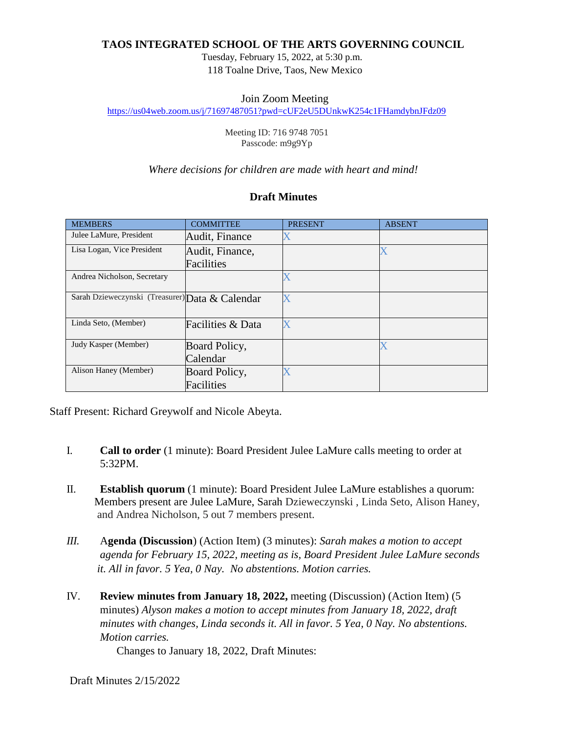## **TAOS INTEGRATED SCHOOL OF THE ARTS GOVERNING COUNCIL**

Tuesday, February 15, 2022, at 5:30 p.m. 118 Toalne Drive, Taos, New Mexico

### Join Zoom Meeting

<https://us04web.zoom.us/j/71697487051?pwd=cUF2eU5DUnkwK254c1FHamdybnJFdz09>

Meeting ID: 716 9748 7051 Passcode: m9g9Yp

#### *Where decisions for children are made with heart and mind!*

## **Draft Minutes**

| <b>MEMBERS</b>                                  | <b>COMMITTEE</b>  | <b>PRESENT</b> | <b>ABSENT</b> |
|-------------------------------------------------|-------------------|----------------|---------------|
| Julee LaMure, President                         | Audit, Finance    |                |               |
| Lisa Logan, Vice President                      | Audit, Finance,   |                |               |
|                                                 | Facilities        |                |               |
| Andrea Nicholson, Secretary                     |                   |                |               |
| Sarah Dzieweczynski (Treasurer) Data & Calendar |                   |                |               |
| Linda Seto, (Member)                            | Facilities & Data |                |               |
| Judy Kasper (Member)                            | Board Policy,     |                |               |
|                                                 | Calendar          |                |               |
| Alison Haney (Member)                           | Board Policy,     |                |               |
|                                                 | Facilities        |                |               |

Staff Present: Richard Greywolf and Nicole Abeyta.

- I. **Call to order** (1 minute): Board President Julee LaMure calls meeting to order at 5:32PM.
- II. **Establish quorum** (1 minute): Board President Julee LaMure establishes a quorum: Members present are Julee LaMure, Sarah Dzieweczynski , Linda Seto, Alison Haney, and Andrea Nicholson, 5 out 7 members present.
- *III.* A**genda (Discussion**) (Action Item) (3 minutes): *Sarah makes a motion to accept agenda for February 15, 2022, meeting as is, Board President Julee LaMure seconds it. All in favor. 5 Yea, 0 Nay. No abstentions. Motion carries.*
- IV. **Review minutes from January 18, 2022,** meeting (Discussion) (Action Item) (5 minutes) *Alyson makes a motion to accept minutes from January 18, 2022, draft minutes with changes, Linda seconds it. All in favor. 5 Yea, 0 Nay. No abstentions. Motion carries.*

Changes to January 18, 2022, Draft Minutes: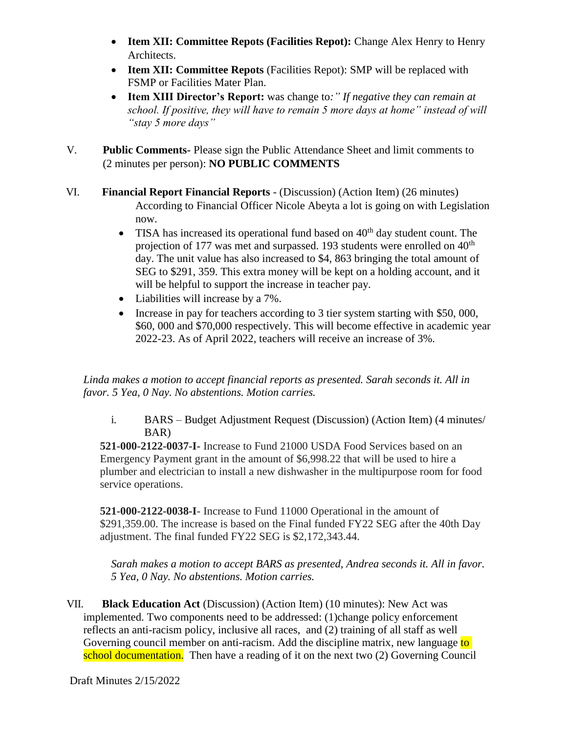- **Item XII: Committee Repots (Facilities Repot):** Change Alex Henry to Henry Architects.
- **Item XII: Committee Repots** (Facilities Repot): SMP will be replaced with FSMP or Facilities Mater Plan.
- **Item XIII Director's Report:** was change to*:" If negative they can remain at school. If positive, they will have to remain 5 more days at home" instead of will "stay 5 more days"*
- V. **Public Comments-** Please sign the Public Attendance Sheet and limit comments to (2 minutes per person): **NO PUBLIC COMMENTS**
- VI. **Financial Report Financial Reports** (Discussion) (Action Item) (26 minutes) According to Financial Officer Nicole Abeyta a lot is going on with Legislation now.
	- TISA has increased its operational fund based on  $40<sup>th</sup>$  day student count. The projection of 177 was met and surpassed. 193 students were enrolled on  $40<sup>th</sup>$ day. The unit value has also increased to \$4, 863 bringing the total amount of SEG to \$291, 359. This extra money will be kept on a holding account, and it will be helpful to support the increase in teacher pay.
	- Liabilities will increase by a 7%.
	- Increase in pay for teachers according to 3 tier system starting with \$50, 000, \$60, 000 and \$70,000 respectively. This will become effective in academic year 2022-23. As of April 2022, teachers will receive an increase of 3%.

*Linda makes a motion to accept financial reports as presented. Sarah seconds it. All in favor. 5 Yea, 0 Nay. No abstentions. Motion carries.*

i. BARS – Budget Adjustment Request (Discussion) (Action Item) (4 minutes/ BAR)

**521-000-2122-0037-I-** Increase to Fund 21000 USDA Food Services based on an Emergency Payment grant in the amount of \$6,998.22 that will be used to hire a plumber and electrician to install a new dishwasher in the multipurpose room for food service operations.

**521-000-2122-0038-I**- Increase to Fund 11000 Operational in the amount of \$291,359.00. The increase is based on the Final funded FY22 SEG after the 40th Day adjustment. The final funded FY22 SEG is \$2,172,343.44.

*Sarah makes a motion to accept BARS as presented, Andrea seconds it. All in favor. 5 Yea, 0 Nay. No abstentions. Motion carries.*

VII. **Black Education Act** (Discussion) (Action Item) (10 minutes): New Act was implemented. Two components need to be addressed: (1)change policy enforcement reflects an anti-racism policy, inclusive all races, and (2) training of all staff as well Governing council member on anti-racism. Add the discipline matrix, new language to school documentation. Then have a reading of it on the next two (2) Governing Council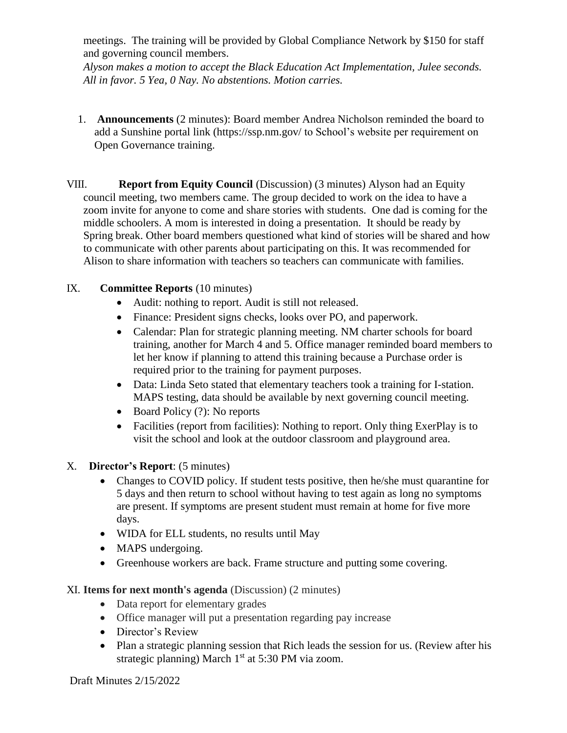meetings. The training will be provided by Global Compliance Network by \$150 for staff and governing council members.

*Alyson makes a motion to accept the Black Education Act Implementation, Julee seconds. All in favor. 5 Yea, 0 Nay. No abstentions. Motion carries.*

- 1. **Announcements** (2 minutes): Board member Andrea Nicholson reminded the board to add a Sunshine portal link (https://ssp.nm.gov/ to School's website per requirement on Open Governance training.
- VIII. **Report from Equity Council** (Discussion) (3 minutes) Alyson had an Equity council meeting, two members came. The group decided to work on the idea to have a zoom invite for anyone to come and share stories with students. One dad is coming for the middle schoolers. A mom is interested in doing a presentation. It should be ready by Spring break. Other board members questioned what kind of stories will be shared and how to communicate with other parents about participating on this. It was recommended for Alison to share information with teachers so teachers can communicate with families.

# IX. **Committee Reports** (10 minutes)

- Audit: nothing to report. Audit is still not released.
- Finance: President signs checks, looks over PO, and paperwork.
- Calendar: Plan for strategic planning meeting. NM charter schools for board training, another for March 4 and 5. Office manager reminded board members to let her know if planning to attend this training because a Purchase order is required prior to the training for payment purposes.
- Data: Linda Seto stated that elementary teachers took a training for I-station. MAPS testing, data should be available by next governing council meeting.
- $\bullet$  Board Policy (?): No reports
- Facilities (report from facilities): Nothing to report. Only thing ExerPlay is to visit the school and look at the outdoor classroom and playground area.
- X. **Director's Report**: (5 minutes)
	- Changes to COVID policy. If student tests positive, then he/she must quarantine for 5 days and then return to school without having to test again as long no symptoms are present. If symptoms are present student must remain at home for five more days.
	- WIDA for ELL students, no results until May
	- MAPS undergoing.
	- Greenhouse workers are back. Frame structure and putting some covering.

## XI. **Items for next month's agenda** (Discussion) (2 minutes)

- Data report for elementary grades
- Office manager will put a presentation regarding pay increase
- Director's Review
- Plan a strategic planning session that Rich leads the session for us. (Review after his strategic planning) March  $1<sup>st</sup>$  at 5:30 PM via zoom.